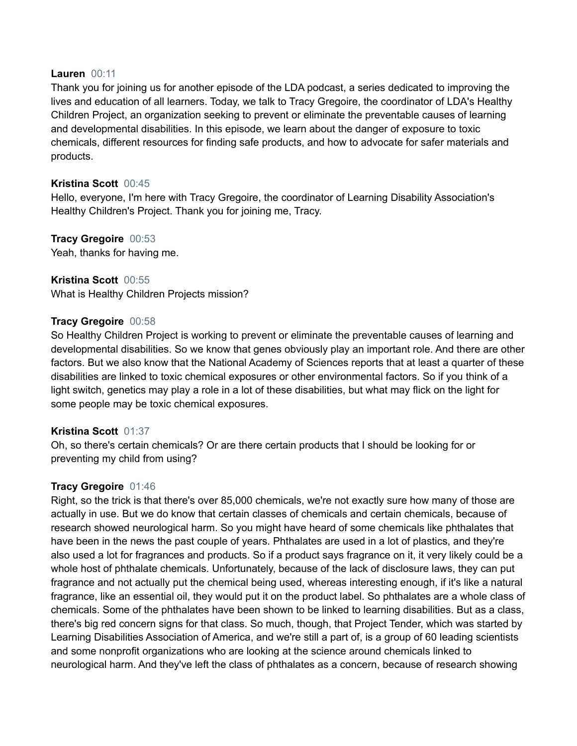#### **Lauren** 00:11

Thank you for joining us for another episode of the LDA podcast, a series dedicated to improving the lives and education of all learners. Today, we talk to Tracy Gregoire, the coordinator of LDA's Healthy Children Project, an organization seeking to prevent or eliminate the preventable causes of learning and developmental disabilities. In this episode, we learn about the danger of exposure to toxic chemicals, different resources for finding safe products, and how to advocate for safer materials and products.

## **Kristina Scott** 00:45

Hello, everyone, I'm here with Tracy Gregoire, the coordinator of Learning Disability Association's Healthy Children's Project. Thank you for joining me, Tracy.

### **Tracy Gregoire** 00:53 Yeah, thanks for having me.

**Kristina Scott** 00:55 What is Healthy Children Projects mission?

## **Tracy Gregoire** 00:58

So Healthy Children Project is working to prevent or eliminate the preventable causes of learning and developmental disabilities. So we know that genes obviously play an important role. And there are other factors. But we also know that the National Academy of Sciences reports that at least a quarter of these disabilities are linked to toxic chemical exposures or other environmental factors. So if you think of a light switch, genetics may play a role in a lot of these disabilities, but what may flick on the light for some people may be toxic chemical exposures.

## **Kristina Scott** 01:37

Oh, so there's certain chemicals? Or are there certain products that I should be looking for or preventing my child from using?

#### **Tracy Gregoire** 01:46

Right, so the trick is that there's over 85,000 chemicals, we're not exactly sure how many of those are actually in use. But we do know that certain classes of chemicals and certain chemicals, because of research showed neurological harm. So you might have heard of some chemicals like phthalates that have been in the news the past couple of years. Phthalates are used in a lot of plastics, and they're also used a lot for fragrances and products. So if a product says fragrance on it, it very likely could be a whole host of phthalate chemicals. Unfortunately, because of the lack of disclosure laws, they can put fragrance and not actually put the chemical being used, whereas interesting enough, if it's like a natural fragrance, like an essential oil, they would put it on the product label. So phthalates are a whole class of chemicals. Some of the phthalates have been shown to be linked to learning disabilities. But as a class, there's big red concern signs for that class. So much, though, that Project Tender, which was started by Learning Disabilities Association of America, and we're still a part of, is a group of 60 leading scientists and some nonprofit organizations who are looking at the science around chemicals linked to neurological harm. And they've left the class of phthalates as a concern, because of research showing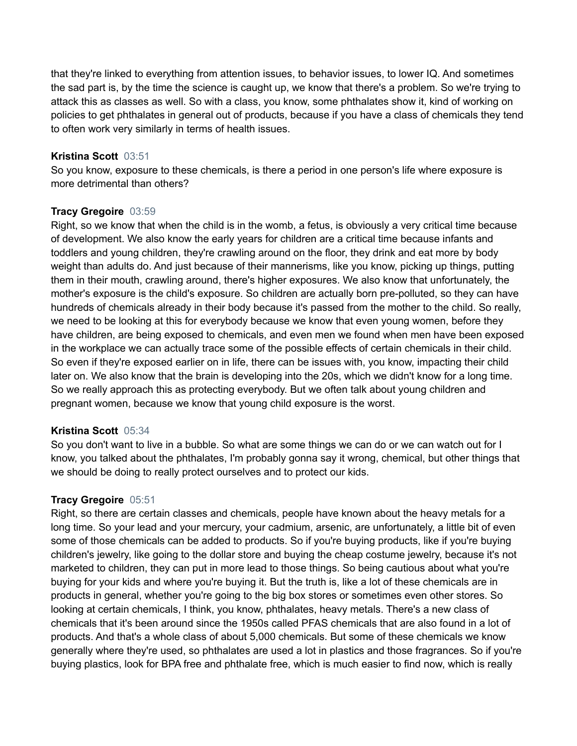that they're linked to everything from attention issues, to behavior issues, to lower IQ. And sometimes the sad part is, by the time the science is caught up, we know that there's a problem. So we're trying to attack this as classes as well. So with a class, you know, some phthalates show it, kind of working on policies to get phthalates in general out of products, because if you have a class of chemicals they tend to often work very similarly in terms of health issues.

### **Kristina Scott** 03:51

So you know, exposure to these chemicals, is there a period in one person's life where exposure is more detrimental than others?

### **Tracy Gregoire** 03:59

Right, so we know that when the child is in the womb, a fetus, is obviously a very critical time because of development. We also know the early years for children are a critical time because infants and toddlers and young children, they're crawling around on the floor, they drink and eat more by body weight than adults do. And just because of their mannerisms, like you know, picking up things, putting them in their mouth, crawling around, there's higher exposures. We also know that unfortunately, the mother's exposure is the child's exposure. So children are actually born pre-polluted, so they can have hundreds of chemicals already in their body because it's passed from the mother to the child. So really, we need to be looking at this for everybody because we know that even young women, before they have children, are being exposed to chemicals, and even men we found when men have been exposed in the workplace we can actually trace some of the possible effects of certain chemicals in their child. So even if they're exposed earlier on in life, there can be issues with, you know, impacting their child later on. We also know that the brain is developing into the 20s, which we didn't know for a long time. So we really approach this as protecting everybody. But we often talk about young children and pregnant women, because we know that young child exposure is the worst.

#### **Kristina Scott** 05:34

So you don't want to live in a bubble. So what are some things we can do or we can watch out for I know, you talked about the phthalates, I'm probably gonna say it wrong, chemical, but other things that we should be doing to really protect ourselves and to protect our kids.

#### **Tracy Gregoire** 05:51

Right, so there are certain classes and chemicals, people have known about the heavy metals for a long time. So your lead and your mercury, your cadmium, arsenic, are unfortunately, a little bit of even some of those chemicals can be added to products. So if you're buying products, like if you're buying children's jewelry, like going to the dollar store and buying the cheap costume jewelry, because it's not marketed to children, they can put in more lead to those things. So being cautious about what you're buying for your kids and where you're buying it. But the truth is, like a lot of these chemicals are in products in general, whether you're going to the big box stores or sometimes even other stores. So looking at certain chemicals, I think, you know, phthalates, heavy metals. There's a new class of chemicals that it's been around since the 1950s called PFAS chemicals that are also found in a lot of products. And that's a whole class of about 5,000 chemicals. But some of these chemicals we know generally where they're used, so phthalates are used a lot in plastics and those fragrances. So if you're buying plastics, look for BPA free and phthalate free, which is much easier to find now, which is really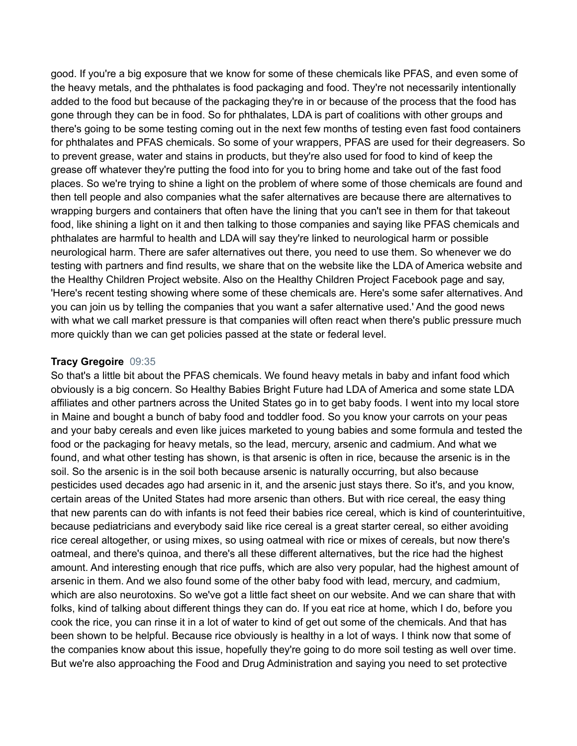good. If you're a big exposure that we know for some of these chemicals like PFAS, and even some of the heavy metals, and the phthalates is food packaging and food. They're not necessarily intentionally added to the food but because of the packaging they're in or because of the process that the food has gone through they can be in food. So for phthalates, LDA is part of coalitions with other groups and there's going to be some testing coming out in the next few months of testing even fast food containers for phthalates and PFAS chemicals. So some of your wrappers, PFAS are used for their degreasers. So to prevent grease, water and stains in products, but they're also used for food to kind of keep the grease off whatever they're putting the food into for you to bring home and take out of the fast food places. So we're trying to shine a light on the problem of where some of those chemicals are found and then tell people and also companies what the safer alternatives are because there are alternatives to wrapping burgers and containers that often have the lining that you can't see in them for that takeout food, like shining a light on it and then talking to those companies and saying like PFAS chemicals and phthalates are harmful to health and LDA will say they're linked to neurological harm or possible neurological harm. There are safer alternatives out there, you need to use them. So whenever we do testing with partners and find results, we share that on the website like the LDA of America website and the Healthy Children Project website. Also on the Healthy Children Project Facebook page and say, 'Here's recent testing showing where some of these chemicals are. Here's some safer alternatives. And you can join us by telling the companies that you want a safer alternative used.' And the good news with what we call market pressure is that companies will often react when there's public pressure much more quickly than we can get policies passed at the state or federal level.

#### **Tracy Gregoire** 09:35

So that's a little bit about the PFAS chemicals. We found heavy metals in baby and infant food which obviously is a big concern. So Healthy Babies Bright Future had LDA of America and some state LDA affiliates and other partners across the United States go in to get baby foods. I went into my local store in Maine and bought a bunch of baby food and toddler food. So you know your carrots on your peas and your baby cereals and even like juices marketed to young babies and some formula and tested the food or the packaging for heavy metals, so the lead, mercury, arsenic and cadmium. And what we found, and what other testing has shown, is that arsenic is often in rice, because the arsenic is in the soil. So the arsenic is in the soil both because arsenic is naturally occurring, but also because pesticides used decades ago had arsenic in it, and the arsenic just stays there. So it's, and you know, certain areas of the United States had more arsenic than others. But with rice cereal, the easy thing that new parents can do with infants is not feed their babies rice cereal, which is kind of counterintuitive, because pediatricians and everybody said like rice cereal is a great starter cereal, so either avoiding rice cereal altogether, or using mixes, so using oatmeal with rice or mixes of cereals, but now there's oatmeal, and there's quinoa, and there's all these different alternatives, but the rice had the highest amount. And interesting enough that rice puffs, which are also very popular, had the highest amount of arsenic in them. And we also found some of the other baby food with lead, mercury, and cadmium, which are also neurotoxins. So we've got a little fact sheet on our website. And we can share that with folks, kind of talking about different things they can do. If you eat rice at home, which I do, before you cook the rice, you can rinse it in a lot of water to kind of get out some of the chemicals. And that has been shown to be helpful. Because rice obviously is healthy in a lot of ways. I think now that some of the companies know about this issue, hopefully they're going to do more soil testing as well over time. But we're also approaching the Food and Drug Administration and saying you need to set protective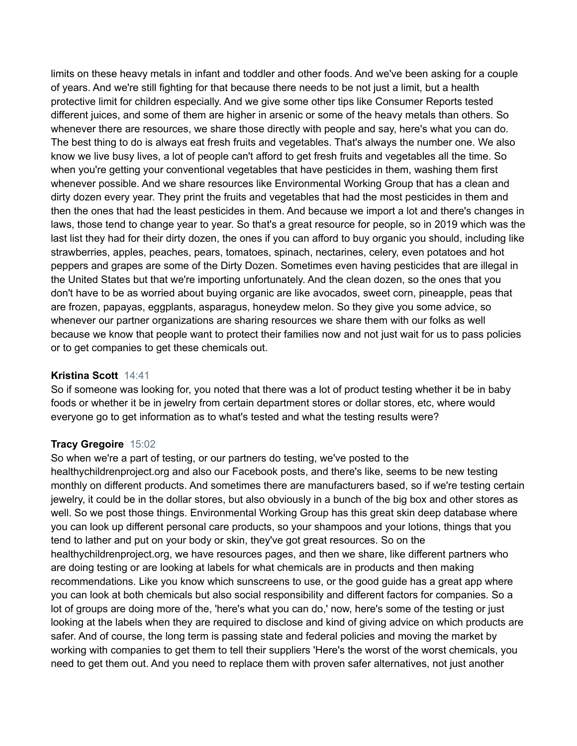limits on these heavy metals in infant and toddler and other foods. And we've been asking for a couple of years. And we're still fighting for that because there needs to be not just a limit, but a health protective limit for children especially. And we give some other tips like Consumer Reports tested different juices, and some of them are higher in arsenic or some of the heavy metals than others. So whenever there are resources, we share those directly with people and say, here's what you can do. The best thing to do is always eat fresh fruits and vegetables. That's always the number one. We also know we live busy lives, a lot of people can't afford to get fresh fruits and vegetables all the time. So when you're getting your conventional vegetables that have pesticides in them, washing them first whenever possible. And we share resources like Environmental Working Group that has a clean and dirty dozen every year. They print the fruits and vegetables that had the most pesticides in them and then the ones that had the least pesticides in them. And because we import a lot and there's changes in laws, those tend to change year to year. So that's a great resource for people, so in 2019 which was the last list they had for their dirty dozen, the ones if you can afford to buy organic you should, including like strawberries, apples, peaches, pears, tomatoes, spinach, nectarines, celery, even potatoes and hot peppers and grapes are some of the Dirty Dozen. Sometimes even having pesticides that are illegal in the United States but that we're importing unfortunately. And the clean dozen, so the ones that you don't have to be as worried about buying organic are like avocados, sweet corn, pineapple, peas that are frozen, papayas, eggplants, asparagus, honeydew melon. So they give you some advice, so whenever our partner organizations are sharing resources we share them with our folks as well because we know that people want to protect their families now and not just wait for us to pass policies or to get companies to get these chemicals out.

## **Kristina Scott** 14:41

So if someone was looking for, you noted that there was a lot of product testing whether it be in baby foods or whether it be in jewelry from certain department stores or dollar stores, etc, where would everyone go to get information as to what's tested and what the testing results were?

#### **Tracy Gregoire** 15:02

So when we're a part of testing, or our partners do testing, we've posted to the healthychildrenproject.org and also our Facebook posts, and there's like, seems to be new testing monthly on different products. And sometimes there are manufacturers based, so if we're testing certain jewelry, it could be in the dollar stores, but also obviously in a bunch of the big box and other stores as well. So we post those things. Environmental Working Group has this great skin deep database where you can look up different personal care products, so your shampoos and your lotions, things that you tend to lather and put on your body or skin, they've got great resources. So on the healthychildrenproject.org, we have resources pages, and then we share, like different partners who are doing testing or are looking at labels for what chemicals are in products and then making recommendations. Like you know which sunscreens to use, or the good guide has a great app where you can look at both chemicals but also social responsibility and different factors for companies. So a lot of groups are doing more of the, 'here's what you can do,' now, here's some of the testing or just looking at the labels when they are required to disclose and kind of giving advice on which products are safer. And of course, the long term is passing state and federal policies and moving the market by working with companies to get them to tell their suppliers 'Here's the worst of the worst chemicals, you need to get them out. And you need to replace them with proven safer alternatives, not just another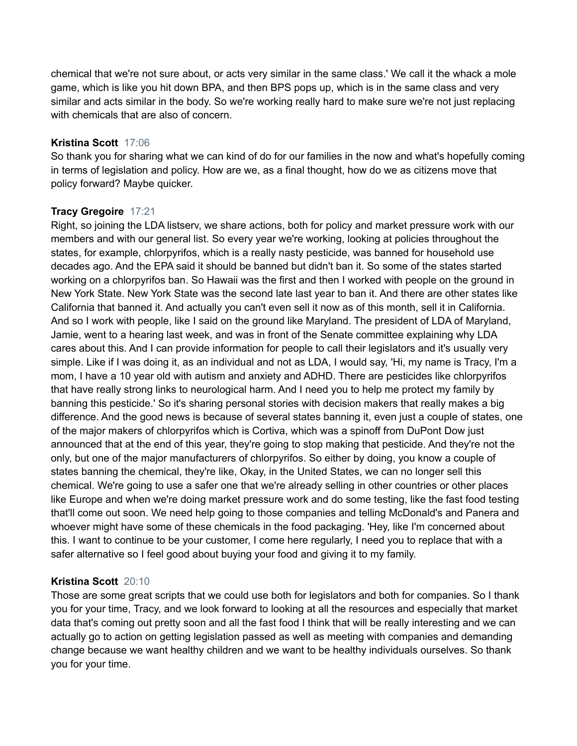chemical that we're not sure about, or acts very similar in the same class.' We call it the whack a mole game, which is like you hit down BPA, and then BPS pops up, which is in the same class and very similar and acts similar in the body. So we're working really hard to make sure we're not just replacing with chemicals that are also of concern.

## **Kristina Scott** 17:06

So thank you for sharing what we can kind of do for our families in the now and what's hopefully coming in terms of legislation and policy. How are we, as a final thought, how do we as citizens move that policy forward? Maybe quicker.

# **Tracy Gregoire** 17:21

Right, so joining the LDA listserv, we share actions, both for policy and market pressure work with our members and with our general list. So every year we're working, looking at policies throughout the states, for example, chlorpyrifos, which is a really nasty pesticide, was banned for household use decades ago. And the EPA said it should be banned but didn't ban it. So some of the states started working on a chlorpyrifos ban. So Hawaii was the first and then I worked with people on the ground in New York State. New York State was the second late last year to ban it. And there are other states like California that banned it. And actually you can't even sell it now as of this month, sell it in California. And so I work with people, like I said on the ground like Maryland. The president of LDA of Maryland, Jamie, went to a hearing last week, and was in front of the Senate committee explaining why LDA cares about this. And I can provide information for people to call their legislators and it's usually very simple. Like if I was doing it, as an individual and not as LDA, I would say, 'Hi, my name is Tracy, I'm a mom, I have a 10 year old with autism and anxiety and ADHD. There are pesticides like chlorpyrifos that have really strong links to neurological harm. And I need you to help me protect my family by banning this pesticide.' So it's sharing personal stories with decision makers that really makes a big difference. And the good news is because of several states banning it, even just a couple of states, one of the major makers of chlorpyrifos which is Cortiva, which was a spinoff from DuPont Dow just announced that at the end of this year, they're going to stop making that pesticide. And they're not the only, but one of the major manufacturers of chlorpyrifos. So either by doing, you know a couple of states banning the chemical, they're like, Okay, in the United States, we can no longer sell this chemical. We're going to use a safer one that we're already selling in other countries or other places like Europe and when we're doing market pressure work and do some testing, like the fast food testing that'll come out soon. We need help going to those companies and telling McDonald's and Panera and whoever might have some of these chemicals in the food packaging. 'Hey, like I'm concerned about this. I want to continue to be your customer, I come here regularly, I need you to replace that with a safer alternative so I feel good about buying your food and giving it to my family.

## **Kristina Scott** 20:10

Those are some great scripts that we could use both for legislators and both for companies. So I thank you for your time, Tracy, and we look forward to looking at all the resources and especially that market data that's coming out pretty soon and all the fast food I think that will be really interesting and we can actually go to action on getting legislation passed as well as meeting with companies and demanding change because we want healthy children and we want to be healthy individuals ourselves. So thank you for your time.